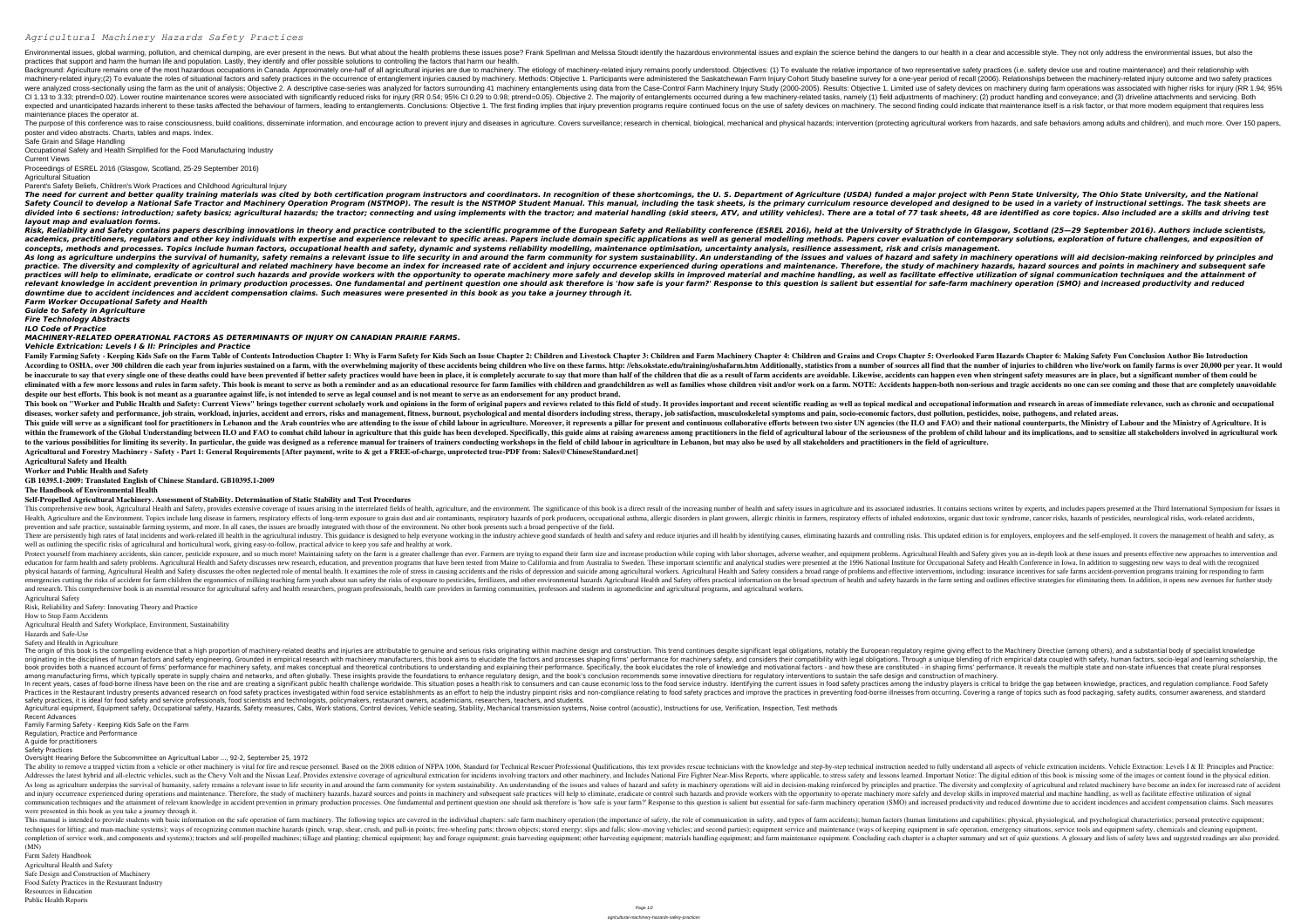## *Agricultural Machinery Hazards Safety Practices*

Environmental issues, global warming, pollution, and chemical dumping, are ever present in the news. But what about the health problems these issues pose? Frank Spellman and Melissa Stoudt identify the hazardous environmen practices that support and harm the human life and population. Lastly, they identify and offer possible solutions to controlling the factors that harm our health. Background: Agriculture remains one of the most hazardous occupations in Canada. Approximately one-half of all agricultural injuries are due to machinery-related injury remains poorly understood. Objectives: (1) To evaluat machinery-related injury;(2) To evaluate the roles of situational factors and safety practices in the occurrence of entanglement injuries caused by machinery. Methods: Objective 1. Participants were administered the Saskat were analyzed cross-sectionally using the farm as the unit of analysis; Objective 2. A descriptive case-series was analyzed for factors surrounding 41 machinery lnjury Study (2000-2005). Results: Objective 1. Limited use o CI 1.13 to 3.33; ptrend=0.02). Lower routine maintenance scores were associated with significantly reduced risks for injury (RR 0.54; 95% CI 0.29 to 0.98; ptrend=0.05). Objective 2. The majority of entanglements occurred d expected and unanticipated hazards inherent to these tasks affected the behaviour of farmers, leading to entanglements. Conclusions: Objective 1. The first finding could indicate that maintenance itself is a risk factor, o maintenance places the operator at.

The purpose of this conference was to raise consciousness, build coalitions, disseminate information, and encourage action to prevent injury and diseases in agricultural workers from hazards, and safe behaviors among adult poster and video abstracts. Charts, tables and maps. Index.

Safe Grain and Silage Handling

Occupational Safety and Health Simplified for the Food Manufacturing Industry

Current Views

Proceedings of ESREL 2016 (Glasgow, Scotland, 25-29 September 2016) Agricultural Situation

Risk, Reliability and Safety contains papers describing innovations in theory and practice contributed to the scientific programme of the European Safety and Reliability conference (ESREL 2016), held at the University of S academics, practitioners, regulators and other key individuals with expertise and experience relevant to specific areas. Papers include domain specific applications as well as general modelling methods. Papers cover evalua concepts, methods and processes. Topics include human factors, occupational health and safety, dynamic and systems reliability modelling, maintenance optimisation, uncertainty analysis, resilience assessment, risk and cris As long as agriculture underpins the survival of humanity, safety remains a relevant issue to life security in and around the farm community for system sustainability. An understanding of the issues and values of hazard an practice. The diversity and complexity of agricultural and related machinery have become an index for increased rate of accident and injury occurrence experienced during operations and maintenance. Therefore, the study of practices will help to eliminate, eradicate or control such hazards and provide workers with the opportunity to operate machinery more safely and develop skills in improved material and machinery more safely and develop sk relevant knowledge in accident prevention in primary production processes. One fundamental and pertinent question one should ask therefore is 'how safe is your farm?' Response to this question is salient but essential for *downtime due to accident incidences and accident compensation claims. Such measures were presented in this book as you take a journey through it. Farm Worker Occupational Safety and Health*

Parent's Safety Beliefs, Children's Work Practices and Childhood Agricultural Injury

*layout map and evaluation forms.*

Family Farming Safety - Keeping Kids Safe on the Farm Table of Contents Introduction Chapter 1: Why is Farm Safety for Kids Such an Issue Chapter 3: Children and Earm Machinery Chapter 5: Overlooked Farm Hazards Chapter 6: According to OSHA, over 300 children die each year from injuries sustained on a farm, with the overwhelming majority of these accidents being children who live on these farms. http: //ehs.okstate.edu/training/oshafarm.htm be inaccurate to say that every single one of these deaths could have been prevented if better safety practices would have been in place, it is completely accurate to say that more than half of the children that die as a r eliminated with a few more lessons and rules in farm safety. This book is meant to serve as both a reminder and as an educational resource for farm families whose children visit and/or work on a farm. NOTE: Accidents happe despite our best efforts. This book is not meant as a guarantee against life, is not intended to serve as legal counsel and is not meant to serve as an endorsement for any product brand. This book on "Worker and Public Health and Safety: Current Views" brings together current scholarly work and opinions in the form of original papers and recent scientific reading as well as topical medical and occupational diseases, worker safety and performance, job strain, workload, injuries, accident and errors, risks and management, fitness, burnout, psychological and mental disorders including stress, therapy, job satisfaction, musculos This guide will serve as a significant tool for practitioners in Lebanon and the Arab countries who are attending to the issue of child labour in agriculture. Moreover, it represents a pillar for present and continuous col within the framework of the Global Understanding between ILO and FAO to combat child labour in agriculture that this guide has been developed. Specifically, this guide aims at raising awareness of the problem of child labo to the various possibilities for limiting its severity. In particular, the guide was designed as a reference manual for trainers of trainers conducting workshops in the field of child labour in agriculture in Lebanon, but **Agricultural and Forestry Machinery - Safety - Part 1: General Requirements [After payment, write to & get a FREE-of-charge, unprotected true-PDF from: Sales@ChineseStandard.net] Agricultural Safety and Health**

This comprehensive new book, Agricultural Health and Safety, provides extensive coverage of issues arising in the interrelated fields of health, agriculture, and the environment. The significance of this book is a direct r Health, Agriculture and the Environment. Topics include lung disease in farmers, respiratory effects of long-term exposure to grain dust and air contaminants, respiratory effects of inhaled endotoxins, organic dust toxic s prevention and safe practice, sustainable farming systems, and more. In all cases, the issues are broadly integrated with those of the environment. No other book presents such a broad perspective of the field. There are persistently high rates of fatal incidents and work-related ill health in the agricultural industry. This guidance is designed to help everyone working in the industry achieve good standards of health and safety well as outlining the specific risks of agricultural and horticultural work, giving easy-to-follow, practical advice to keep you safe and healthy at work.

*Guide to Safety in Agriculture*

*Fire Technology Abstracts*

*ILO Code of Practice MACHINERY-RELATED OPERATIONAL FACTORS AS DETERMINANTS OF INJURY ON CANADIAN PRAIRIE FARMS. Vehicle Extrication: Levels I & II: Principles and Practice*

Protect yourself from machinery accidents, skin cancer, pesticide exposure, and so much more! Maintaining safety on the farm is a greater challenge than ever. Farmers are trying to expand their farm size and increase produ nother metal and safety problems. Agricultural Health and Safety discusses new research, education, and prevention programs that have been tested from Maine to California and from Maine to California and from Maine to Cali hysical hazards of farming, Agricultural Health and Safety discusses the often neglected role of mental health. It examines the role of mental health. It examines the role of stress in causing accidents and the risks of de emergencies cutting the risks of accident for farm children the ergonomics of milking teaching farm youth about sun safety the risks of exposure to pesticides, fertilizers, and other environmental hazards in the farm setti and research. This comprehensive book is an essential resource for agricultural safety and health researchers, program professionals, health care providers in farming communities, professors and students in agromedicine an Agricultural Safety

The origin of this book is the compelling evidence that a high proportion of machinery-related deaths and injuries are attributable to genuine and serious risks originating within machine giving effect to the Machinery Dir originating in the disciplines of human factors and safety engineering. Grounded in empirical research with machinery manufacturers, this book aims to elucidate the factors and processes shaping firms' performance for mach book provides both a nuanced account of firms' performance for machinery safety, and makes conceptual and theoretical contributions to understanding and explaining firms' performance. It reveals the multiple state and nonamong manufacturing firms, which typically operate in supply chains and networks, and often globally. These insights provide the foundations to enhance regulatory design, and the book's conclusion recommends some innovativ In recent years, cases of food-borne illness have been on the rise and are creating a significant public health challenge worldwide. This situation poses a health risk to consumers and can cause economic loss to the food s Practices in the Restaurant Industry presents advanced research on food safety practices investigated within food service establishments as an effort to help the industry pinpoint risks and non-compliance relating to food safety practices, it is ideal for food safety and service professionals, food scientists and technologists, policymakers, restaurant owners, academicians, researchers, teachers, and students. Agricultural equipment, Equipment safety, Occupational safety, Hazards, Safety measures, Cabs, Work stations, Control devices, Vehicle seating, Stability, Mechanical transmission systems, Noise control (acoustic), Instruct Recent Advances

The ability to remove a trapped victim from a vehicle or other machinery is vital for fire and rescue personnel. Based on the 2008 edition of NFPA 1006, Standard for Technicians with the knowledge and step-by-step technici Addresses the latest hybrid and all-electric vehicles, such as the Chevy Volt and the Nissan Leaf, Provides extensive coverage of agricultural extrication for incidents involving tractors and other machinery, and Includes As long as agriculture underpins the survival of humanity, safety remains a relevant issue to life security in and around the farm community for system sustainability. An understanding of the issues and values of hazard an and injury occurrence experienced during operations and maintenance. Therefore, the study of machinery hazards, hazard sources and points in machinery more safely and develop skills in improved material and machine handlin communication techniques and the attainment of relevant knowledge in accident prevention in primary production in primary production processes. One fundamental and pertinent question one should ask therefore is 'how safe i were presented in this book as you take a journey through it.

**Worker and Public Health and Safety**

**GB 10395.1-2009: Translated English of Chinese Standard. GB10395.1-2009**

**The Handbook of Environmental Health**

This manual is intended to provide students with basic information on the safe operation of farm machinery. The following topics are covered in the individual chapters: safe farm machinery operation (the importance of safe techniques for lifting; and man-machine systems); ways of recognizing common machine hazards (pinch, wrap, shear, crush, and pull-in points; free-wheeling parts; thrown objects; stored energy; slips and falls; slow-moving completion of service work, and components and systems); tractors and self-propelled machines; tillage and planting; chemical equipment; hay and forage equipment; and farm maintenance equipment; and set of quiz questions. (MN)

**Self-Propelled Agricultural Machinery. Assessment of Stability. Determination of Static Stability and Test Procedures**

Risk, Reliability and Safety: Innovating Theory and Practice

How to Stop Farm Accidents

Agricultural Health and Safety Workplace, Environment, Sustainability

Hazards and Safe-Use

Safety and Health in Agriculture

Family Farming Safety - Keeping Kids Safe on the Farm

Regulation, Practice and Performance

A guide for practitioners Safety Practices

Oversight Hearing Before the Subcommittee on Agricultual Labor ..., 92-2, September 25, 1972

Farm Safety Handbook Agricultural Health and Safety Safe Design and Construction of Machinery Food Safety Practices in the Restaurant Industry Resources in Education

## The need for current and better quality training materials was cited by both certification program instructors and coordinators. In recognition of these shortcomings, the U. S. Department of Agriculture (USDA) funded a maj Safety Council to develop a National Safe Tractor and Machinery Operation Program (NSTMOP). The result is the NSTMOP Student Manual, including the task sheets, is the primary curriculum resource developed and designed to b divided into 6 sections: introduction; safety basics; agricultural hazards; the tractor; connecting and using implements with the tractor; and material handling (skid steers, ATV, and utility vehicles). There are a total o

Public Health Reports